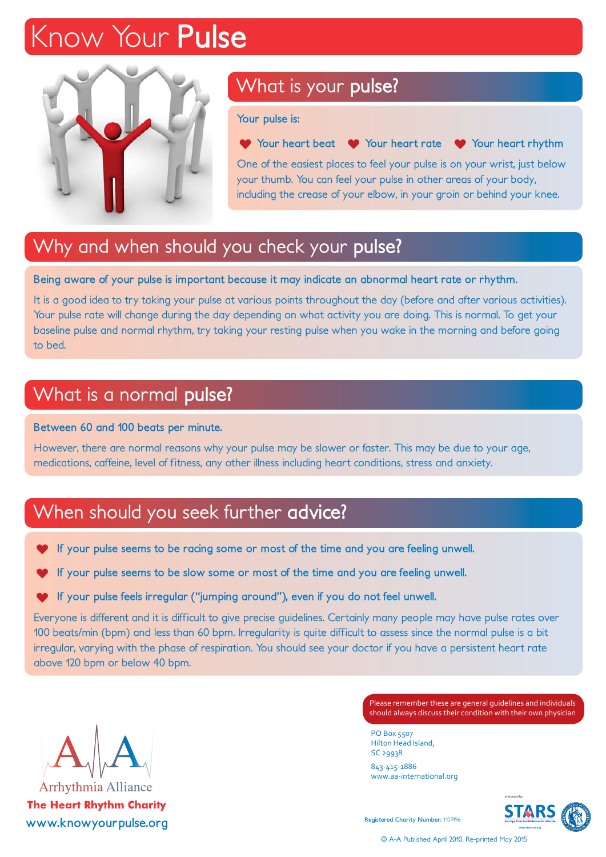## *Know Your* **Pulse**



### What is your **pulse?**

**Your pulse is:**

**Y** Your heart beat  $\bullet$  Your heart rate  $\bullet$  Your heart rhythm

One of the easiest places to feel your pulse is on your wrist, just below your thumb. You can feel your pulse in other areas of your body, including the crease of your elbow, in your groin or behind your knee.

### Why and when should you check your **pulse?**

**Being aware of your pulse is important because it may indicate an abnormal heart rate or rhythm.**

It is a good idea to try taking your pulse at various points throughout the day (before and after various activities). Your pulse rate will change during the day depending on what activity you are doing. This is normal. To get your baseline pulse and normal rhythm, try taking your resting pulse when you wake in the morning and before going to bed.

#### What is a normal **pulse?**

**Between 60 and 100 beats per minute.**

However, there are normal reasons why your pulse may be slower or faster. This may be due to your age, medications, caffeine, level of fitness, any other illness including heart conditions, stress and anxiety.

### When should you seek further **advice?**

- **If your pulse seems to be racing some or most of the time and you are feeling unwell.**
- **If your pulse seems to be slow some or most of the time and you are feeling unwell.**
- **If your pulse feels irregular ("jumping around"), even if you do not feel unwell.**

Everyone is different and it is difficult to give precise guidelines. Certainly many people may have pulse rates over 100 beats/min (bpm) and less than 60 bpm. Irregularity is quite difficult to assess since the normal pulse is a bit irregular, varying with the phase of respiration. You should see your doctor if you have a persistent heart rate above 120 bpm or below 40 bpm.



**Please remember these are general guidelines and individuals** Please remember these are general guidelines and individuals should always discuss their condition with their own physician

PO Box 5507 Hilton Head Island, Stratford upon Avon, Warwickshire CV37 8YL SC 29938

www.aa-international.org 843-415-1886



© A-A Published April 2010, Re-printed May 2015